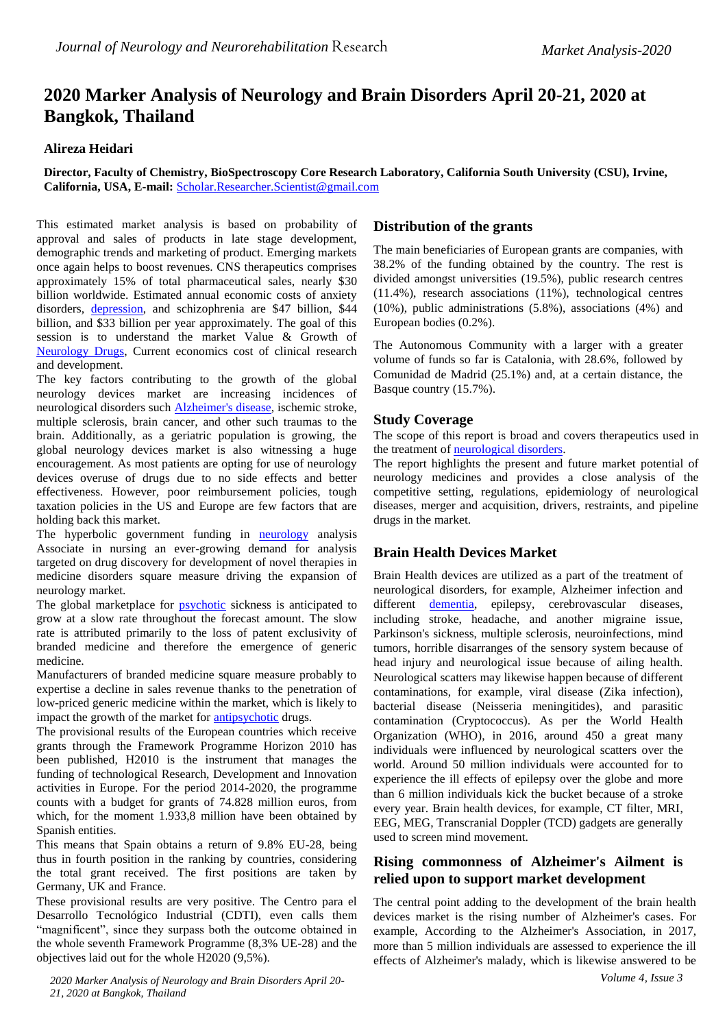# **2020 Marker Analysis of Neurology and Brain Disorders April 20-21, 2020 at Bangkok, Thailand**

#### **Alireza Heidari**

#### **Director, Faculty of Chemistry, BioSpectroscopy Core Research Laboratory, California South University (CSU), Irvine, California, USA, E-mail:** [Scholar.Researcher.Scientist@gmail.com](mailto:Scholar.Researcher.Scientist@gmail.com)

This estimated market analysis is based on probability of approval and sales of products in late stage development, demographic trends and marketing of product. Emerging markets once again helps to boost revenues. CNS therapeutics comprises approximately 15% of total pharmaceutical sales, nearly \$30 billion worldwide. Estimated annual economic costs of anxiety disorders, [depression,](http://bit.ly/31pJgX3) and schizophrenia are \$47 billion, \$44 billion, and \$33 billion per year approximately. The goal of this session is to understand the market Value & Growth of [Neurology Drugs,](http://neurocongress.alliedacademies.com/) Current economics cost of clinical research and development.

The key factors contributing to the growth of the global neurology devices market are increasing incidences of neurological disorders such [Alzheimer's disease,](http://neurocongress.alliedacademies.com/abstract-submission) ischemic stroke, multiple sclerosis, brain cancer, and other such traumas to the brain. Additionally, as a geriatric population is growing, the global neurology devices market is also witnessing a huge encouragement. As most patients are opting for use of neurology devices overuse of drugs due to no side effects and better effectiveness. However, poor reimbursement policies, tough taxation policies in the US and Europe are few factors that are holding back this market.

The hyperbolic government funding in [neurology](http://bit.ly/31pJgX3) analysis Associate in nursing an ever-growing demand for analysis targeted on drug discovery for development of novel therapies in medicine disorders square measure driving the expansion of neurology market.

The global marketplace for **psychotic** sickness is anticipated to grow at a slow rate throughout the forecast amount. The slow rate is attributed primarily to the loss of patent exclusivity of branded medicine and therefore the emergence of generic medicine.

Manufacturers of branded medicine square measure probably to expertise a decline in sales revenue thanks to the penetration of low-priced generic medicine within the market, which is likely to impact the growth of the market for **antipsychotic** drugs.

The provisional results of the European countries which receive grants through the Framework Programme Horizon 2010 has been published, H2010 is the instrument that manages the funding of technological Research, Development and Innovation activities in Europe. For the period 2014-2020, the programme counts with a budget for grants of 74.828 million euros, from which, for the moment 1.933,8 million have been obtained by Spanish entities.

This means that Spain obtains a return of 9.8% EU-28, being thus in fourth position in the ranking by countries, considering the total grant received. The first positions are taken by Germany, UK and France.

These provisional results are very positive. The Centro para el Desarrollo Tecnológico Industrial (CDTI), even calls them "magnificent", since they surpass both the outcome obtained in the whole seventh Framework Programme (8,3% UE-28) and the objectives laid out for the whole H2020 (9,5%).

*2020 Marker Analysis of Neurology and Brain Disorders April 20- 21, 2020 at Bangkok, Thailand*

## **Distribution of the grants**

The main beneficiaries of European grants are companies, with 38.2% of the funding obtained by the country. The rest is divided amongst universities (19.5%), public research centres (11.4%), research associations (11%), technological centres (10%), public administrations (5.8%), associations (4%) and European bodies (0.2%).

The Autonomous Community with a larger with a greater volume of funds so far is Catalonia, with 28.6%, followed by Comunidad de Madrid (25.1%) and, at a certain distance, the Basque country (15.7%).

### **Study Coverage**

The scope of this report is broad and covers therapeutics used in the treatment of [neurological disorders.](http://bit.ly/31pJgX3)

The report highlights the present and future market potential of neurology medicines and provides a close analysis of the competitive setting, regulations, epidemiology of neurological diseases, merger and acquisition, drivers, restraints, and pipeline drugs in the market.

# **Brain Health Devices Market**

Brain Health devices are utilized as a part of the treatment of neurological disorders, for example, Alzheimer infection and different [dementia,](http://neurocongress.alliedacademies.com/venue-and-hospitality) epilepsy, cerebrovascular diseases, including stroke, headache, and another migraine issue, Parkinson's sickness, multiple sclerosis, neuroinfections, mind tumors, horrible disarranges of the sensory system because of head injury and neurological issue because of ailing health. Neurological scatters may likewise happen because of different contaminations, for example, viral disease (Zika infection), bacterial disease (Neisseria meningitides), and parasitic contamination (Cryptococcus). As per the World Health Organization (WHO), in 2016, around 450 a great many individuals were influenced by neurological scatters over the world. Around 50 million individuals were accounted for to experience the ill effects of epilepsy over the globe and more than 6 million individuals kick the bucket because of a stroke every year. Brain health devices, for example, CT filter, MRI, EEG, MEG, Transcranial Doppler (TCD) gadgets are generally used to screen mind movement.

# **Rising commonness of Alzheimer's Ailment is relied upon to support market development**

The central point adding to the development of the brain health devices market is the rising number of Alzheimer's cases. For example, According to the Alzheimer's Association, in 2017, more than 5 million individuals are assessed to experience the ill effects of Alzheimer's malady, which is likewise answered to be